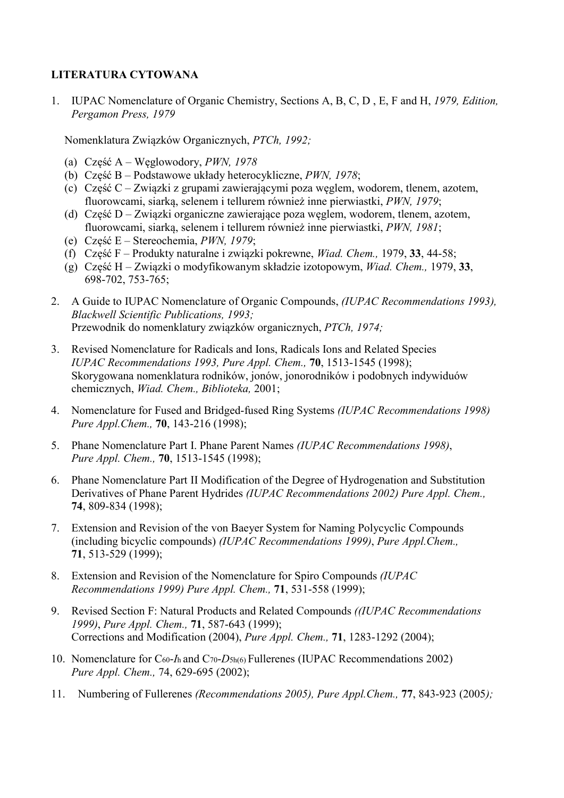## LITERATURA CYTOWANA

1. IUPAC Nomenclature of Organic Chemistry, Sections A, B, C, D , E, F and H, 1979, Edition, Pergamon Press, 1979

Nomenklatura Związków Organicznych, PTCh, 1992;

- (a) Część A Węglowodory, PWN, 1978
- (b) Część B Podstawowe układy heterocykliczne, PWN, 1978;
- (c) Część C Związki z grupami zawierającymi poza węglem, wodorem, tlenem, azotem, fluorowcami, siarką, selenem i tellurem również inne pierwiastki, PWN, 1979;
- (d) Część D Związki organiczne zawierające poza węglem, wodorem, tlenem, azotem, fluorowcami, siarką, selenem i tellurem również inne pierwiastki, PWN, 1981;
- (e) Część E Stereochemia, PWN, 1979;
- (f) Część F Produkty naturalne i związki pokrewne, Wiad. Chem., 1979, 33, 44-58;
- (g) Część H Związki o modyfikowanym składzie izotopowym, Wiad. Chem., 1979, 33, 698-702, 753-765;
- 2. A Guide to IUPAC Nomenclature of Organic Compounds, (IUPAC Recommendations 1993), Blackwell Scientific Publications, 1993; Przewodnik do nomenklatury związków organicznych, PTCh, 1974;
- 3. Revised Nomenclature for Radicals and Ions, Radicals Ions and Related Species IUPAC Recommendations 1993, Pure Appl. Chem., 70, 1513-1545 (1998); Skorygowana nomenklatura rodników, jonów, jonorodników i podobnych indywiduów chemicznych, Wiad. Chem., Biblioteka, 2001;
- 4. Nomenclature for Fused and Bridged-fused Ring Systems (IUPAC Recommendations 1998) Pure Appl.Chem., 70, 143-216 (1998);
- 5. Phane Nomenclature Part I. Phane Parent Names (IUPAC Recommendations 1998), Pure Appl. Chem., **70**, 1513-1545 (1998);
- 6. Phane Nomenclature Part II Modification of the Degree of Hydrogenation and Substitution Derivatives of Phane Parent Hydrides (IUPAC Recommendations 2002) Pure Appl. Chem., 74, 809-834 (1998);
- 7. Extension and Revision of the von Baeyer System for Naming Polycyclic Compounds (including bicyclic compounds) (IUPAC Recommendations 1999), Pure Appl.Chem., 71, 513-529 (1999);
- 8. Extension and Revision of the Nomenclature for Spiro Compounds (IUPAC Recommendations 1999) Pure Appl. Chem., 71, 531-558 (1999);
- 9. Revised Section F: Natural Products and Related Compounds ((IUPAC Recommendations 1999), Pure Appl. Chem., 71, 587-643 (1999); Corrections and Modification (2004), Pure Appl. Chem., 71, 1283-1292 (2004);
- 10. Nomenclature for C60-Ih and C70-D5h(6) Fullerenes (IUPAC Recommendations 2002) Pure Appl. Chem., 74, 629-695 (2002);
- 11. Numbering of Fullerenes (Recommendations 2005), Pure Appl.Chem., 77, 843-923 (2005);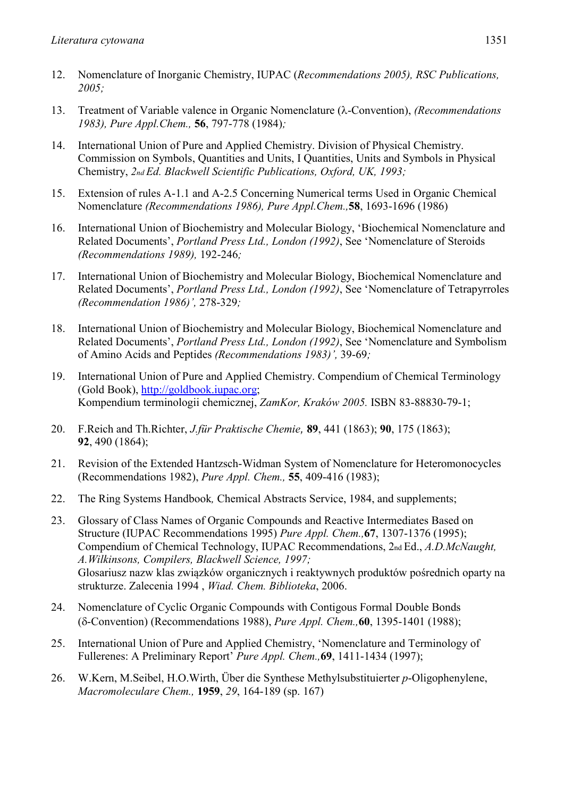- 12. Nomenclature of Inorganic Chemistry, IUPAC (Recommendations 2005), RSC Publications, 2005;
- 13. Treatment of Variable valence in Organic Nomenclature ( $\lambda$ -Convention), *(Recommendations* 1983), Pure Appl.Chem., 56, 797-778 (1984);
- 14. International Union of Pure and Applied Chemistry. Division of Physical Chemistry. Commission on Symbols, Quantities and Units, I Quantities, Units and Symbols in Physical Chemistry, 2nd Ed. Blackwell Scientific Publications, Oxford, UK, 1993;
- 15. Extension of rules A-1.1 and A-2.5 Concerning Numerical terms Used in Organic Chemical Nomenclature (Recommendations 1986), Pure Appl.Chem.,58, 1693-1696 (1986)
- 16. International Union of Biochemistry and Molecular Biology, 'Biochemical Nomenclature and Related Documents', Portland Press Ltd., London (1992), See 'Nomenclature of Steroids (Recommendations 1989), 192-246;
- 17. International Union of Biochemistry and Molecular Biology, Biochemical Nomenclature and Related Documents', Portland Press Ltd., London (1992), See 'Nomenclature of Tetrapyrroles (Recommendation 1986)', 278-329;
- 18. International Union of Biochemistry and Molecular Biology, Biochemical Nomenclature and Related Documents', Portland Press Ltd., London (1992), See 'Nomenclature and Symbolism of Amino Acids and Peptides (Recommendations 1983)', 39-69;
- 19. International Union of Pure and Applied Chemistry. Compendium of Chemical Terminology (Gold Book), http://goldbook.iupac.org; Kompendium terminologii chemicznej, ZamKor, Kraków 2005. ISBN 83-88830-79-1;
- 20. F.Reich and Th.Richter, J.für Praktische Chemie, 89, 441 (1863); 90, 175 (1863); 92, 490 (1864);
- 21. Revision of the Extended Hantzsch-Widman System of Nomenclature for Heteromonocycles (Recommendations 1982), Pure Appl. Chem., 55, 409-416 (1983);
- 22. The Ring Systems Handbook, Chemical Abstracts Service, 1984, and supplements;
- 23. Glossary of Class Names of Organic Compounds and Reactive Intermediates Based on Structure (IUPAC Recommendations 1995) Pure Appl. Chem.,67, 1307-1376 (1995); Compendium of Chemical Technology, IUPAC Recommendations, 2nd Ed., A.D.McNaught, A.Wilkinsons, Compilers, Blackwell Science, 1997; Glosariusz nazw klas związków organicznych i reaktywnych produktów pośrednich oparty na strukturze. Zalecenia 1994 , Wiad. Chem. Biblioteka, 2006.
- 24. Nomenclature of Cyclic Organic Compounds with Contigous Formal Double Bonds (δ-Convention) (Recommendations 1988), *Pure Appl. Chem.*, **60**, 1395-1401 (1988);
- 25. International Union of Pure and Applied Chemistry, 'Nomenclature and Terminology of Fullerenes: A Preliminary Report' Pure Appl. Chem.,69, 1411-1434 (1997);
- 26. W.Kern, M.Seibel, H.O.Wirth, Über die Synthese Methylsubstituierter p-Oligophenylene, Macromoleculare Chem., 1959, 29, 164-189 (sp. 167)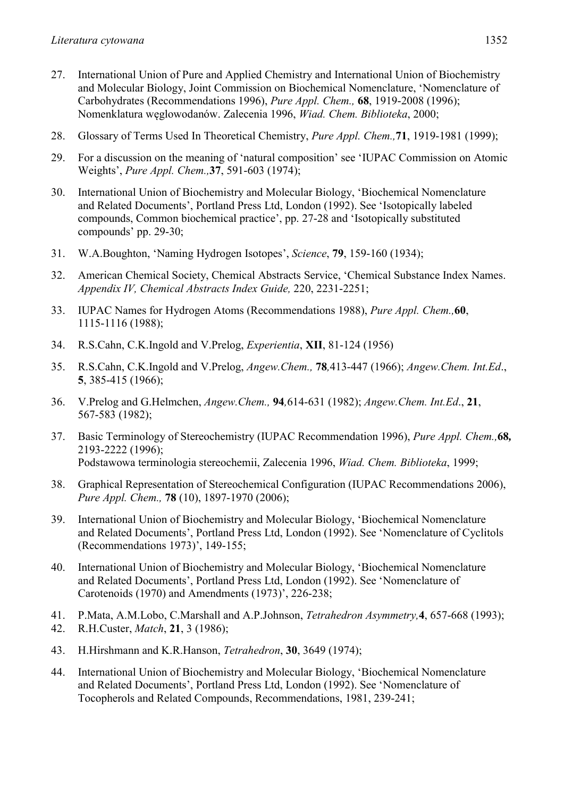- 27. International Union of Pure and Applied Chemistry and International Union of Biochemistry and Molecular Biology, Joint Commission on Biochemical Nomenclature, 'Nomenclature of Carbohydrates (Recommendations 1996), Pure Appl. Chem., 68, 1919-2008 (1996); Nomenklatura węglowodanów. Zalecenia 1996, Wiad. Chem. Biblioteka, 2000;
- 28. Glossary of Terms Used In Theoretical Chemistry, *Pure Appl. Chem.*, **71**, 1919-1981 (1999);
- 29. For a discussion on the meaning of 'natural composition' see 'IUPAC Commission on Atomic Weights', Pure Appl. Chem.,37, 591-603 (1974);
- 30. International Union of Biochemistry and Molecular Biology, 'Biochemical Nomenclature and Related Documents', Portland Press Ltd, London (1992). See 'Isotopically labeled compounds, Common biochemical practice', pp. 27-28 and 'Isotopically substituted compounds' pp. 29-30;
- 31. W.A.Boughton, 'Naming Hydrogen Isotopes', Science, 79, 159-160 (1934);
- 32. American Chemical Society, Chemical Abstracts Service, 'Chemical Substance Index Names. Appendix IV, Chemical Abstracts Index Guide, 220, 2231-2251;
- 33. IUPAC Names for Hydrogen Atoms (Recommendations 1988), Pure Appl. Chem.,60, 1115-1116 (1988);
- 34. R.S.Cahn, C.K.Ingold and V.Prelog, Experientia, XII, 81-124 (1956)
- 35. R.S.Cahn, C.K.Ingold and V.Prelog, Angew.Chem., 78,413-447 (1966); Angew.Chem. Int.Ed., 5, 385-415 (1966);
- 36. V.Prelog and G.Helmchen, Angew.Chem., 94,614-631 (1982); Angew.Chem. Int.Ed., 21, 567-583 (1982);
- 37. Basic Terminology of Stereochemistry (IUPAC Recommendation 1996), Pure Appl. Chem.,68, 2193-2222 (1996); Podstawowa terminologia stereochemii, Zalecenia 1996, Wiad. Chem. Biblioteka, 1999;
- 38. Graphical Representation of Stereochemical Configuration (IUPAC Recommendations 2006), Pure Appl. Chem., **78** (10), 1897-1970 (2006);
- 39. International Union of Biochemistry and Molecular Biology, 'Biochemical Nomenclature and Related Documents', Portland Press Ltd, London (1992). See 'Nomenclature of Cyclitols (Recommendations 1973)', 149-155;
- 40. International Union of Biochemistry and Molecular Biology, 'Biochemical Nomenclature and Related Documents', Portland Press Ltd, London (1992). See 'Nomenclature of Carotenoids (1970) and Amendments (1973)', 226-238;
- 41. P.Mata, A.M.Lobo, C.Marshall and A.P.Johnson, Tetrahedron Asymmetry,4, 657-668 (1993);
- 42. R.H.Custer, Match, 21, 3 (1986);
- 43. H.Hirshmann and K.R.Hanson, Tetrahedron, 30, 3649 (1974);
- 44. International Union of Biochemistry and Molecular Biology, 'Biochemical Nomenclature and Related Documents', Portland Press Ltd, London (1992). See 'Nomenclature of Tocopherols and Related Compounds, Recommendations, 1981, 239-241;